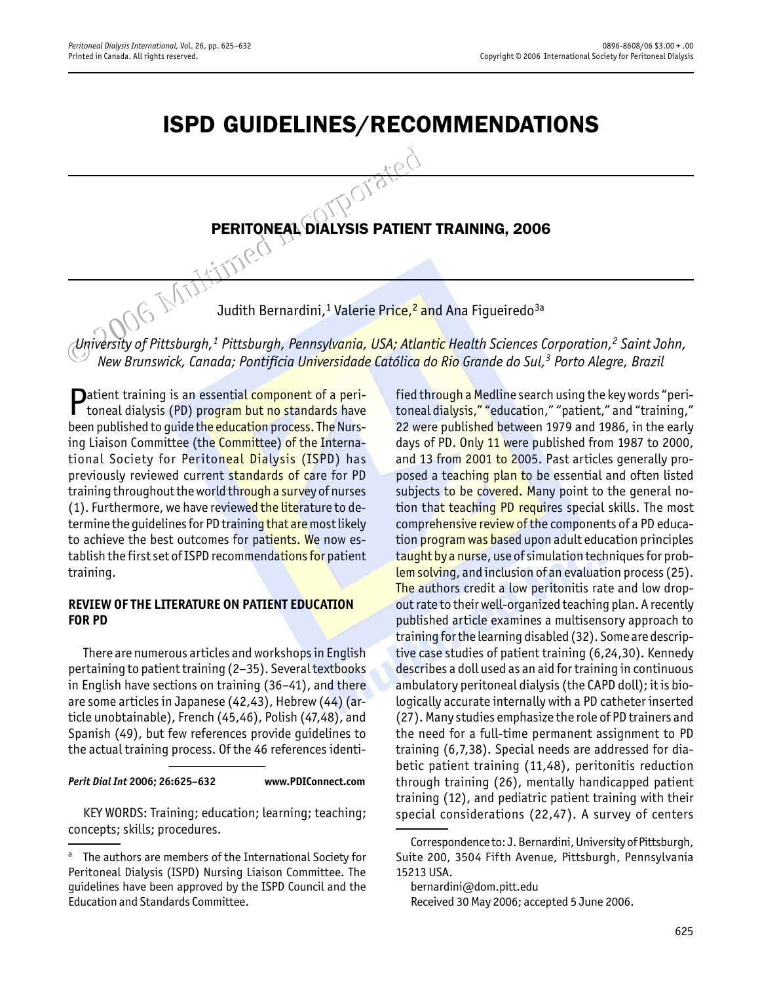# ISPD GUIDELINES/RECOMMENDATIONS

# PERITONEAL DIALYSIS PATIENT TRAINING, 2006

Judith Bernardini,<sup>1</sup> Valerie Price,<sup>2</sup> and Ana Figueiredo<sup>3a</sup>

©©University of Pittsburgh,1 Pittsburgh, Pennsylvania, USA; Atlantic Health Sciences Corporation,2 Saint John, **PERITONEAL DIALYSIS PATIENT<br>2200066 MMuullthiimmeedd IIInnecese Multiple Price,<sup>2</sup> a<br>220006 Multiple Price,<sup>2</sup> a<br>241 Mew Brunswick, Canada; Pontifícia Universidade Católica** New Brunswick, Canada; Pontifícia Universidade Católica do Rio Grande do Sul,<sup>3</sup> Porto Alegre, Brazil

**Patient training is an essential component of a peritoneal dialysis (PD) program but no standards have** been published to quide the education process. The Nursing Liaison Committee (the Committee) of the International Society for Peritoneal Dialysis (ISPD) has previously reviewed current standards of care for PD training throughout the world through a survey of nurses (1). Furthermore, we have reviewed the literature to determine the quidelines for PD training that are most likely to achieve the best outcomes for patients. We now establish the first set of ISPD recommendations for patient training.

# REVIEW OF THE LITERATURE ON PATIENT EDUCATION FOR PD

There are numerous articles and workshops in English pertaining to patient training (2–35). Several textbooks in English have sections on training (36–41), and there are some articles in Japanese (42,43), Hebrew (44) (article unobtainable), French (45,46), Polish (47,48), and Spanish (49), but few references provide guidelines to the actual training process. Of the 46 references identi-

Perit Dial Int 2006; 26:625–632 www.PDIConnect.com

KEY WORDS: Training; education; learning; teaching; concepts; skills; procedures.

fied through a Medline search using the key words "peritoneal dialysis," "education," "patient," and "training," 22 were published between 1979 and 1986, in the early days of PD. Only 11 were published from 1987 to 2000, and 13 from 2001 to 2005. Past articles generally proposed a teaching plan to be essential and often listed subjects to be covered. Many point to the general notion that teaching PD requires special skills. The most comprehensive review of the components of a PD education program was based upon adult education principles taught by a nurse, use of simulation techniques for problem solving, and inclusion of an evaluation process (25). The authors credit a low peritonitis rate and low dropout rate to their well-organized teaching plan. A recently published article examines a multisensory approach to training for the learning disabled (32). Some are descriptive case studies of patient training (6,24,30). Kennedy describes a doll used as an aid for training in continuous ambulatory peritoneal dialysis (the CAPD doll); it is biologically accurate internally with a PD catheter inserted (27). Many studies emphasize the role of PD trainers and the need for a full-time permanent assignment to PD training (6,7,38). Special needs are addressed for diabetic patient training (11,48), peritonitis reduction through training (26), mentally handicapped patient training (12), and pediatric patient training with their special considerations (22,47). A survey of centers

bernardini@dom.pitt.edu

Received 30 May 2006; accepted 5 June 2006.

<sup>&</sup>lt;sup>a</sup> The authors are members of the International Society for Peritoneal Dialysis (ISPD) Nursing Liaison Committee. The guidelines have been approved by the ISPD Council and the Education and Standards Committee.

Correspondence to: J. Bernardini, University of Pittsburgh, Suite 200, 3504 Fifth Avenue, Pittsburgh, Pennsylvania 15213 USA.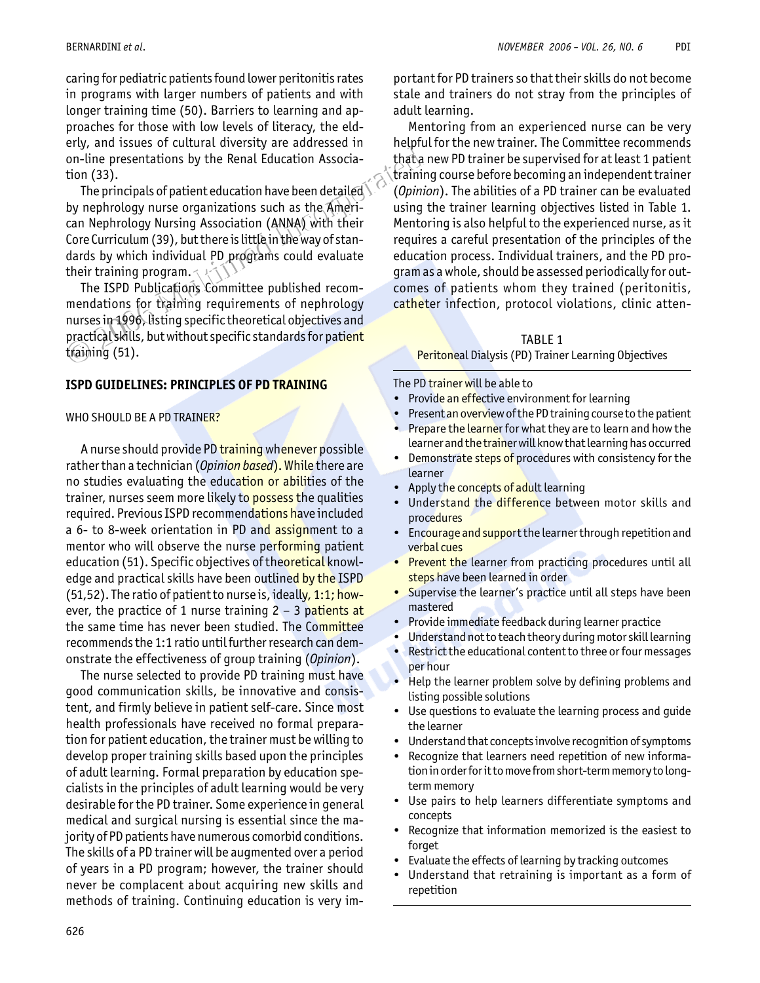caring for pediatric patients found lower peritonitis rates in programs with larger numbers of patients and with longer training time (50). Barriers to learning and approaches for those with low levels of literacy, the elderly, and issues of cultural diversity are addressed in on-line presentations by the Renal Education Association (33).

2200066 Multiple The presentations by the Renal Education Associa-<br>
The principals of patient education have been detailed that a<br>
11 The principals of patient education have been detailed that a<br>
12 Column<br>
12 Column<br>
12 The principals of patient education have been detailed by nephrology nurse organizations such as the American Nephrology Nursing Association (ANNA) with their Core Curriculum (39), but there is little in the way of standards by which individual PD programs could evaluate their training program.  $\prec \vee \preceq$ 

practical skills The ISPD Publications Committee published recommendations for training requirements of nephrology nurses in 1996, listing specific theoretical objectives and practical skills, but without specific standards for patient

#### ISPD GUIDELINES: PRINCIPLES OF PD TRAINING

#### WHO SHOULD BE A PD TRAINER?

A nurse should provide PD training whenever possible rather than a technician (Opinion based). While there are no studies evaluating the education or abilities of the trainer, nurses seem more likely to possess the qualities required. Previous ISPD recommendations have included a 6- to 8-week orientation in PD and assignment to a mentor who will observe the nurse performing patient education (51). Specific objectives of theoretical knowledge and practical skills have been outlined by the ISPD (51,52). The ratio of patient to nurse is, ideally, 1:1; however, the practice of 1 nurse training  $2 - 3$  patients at the same time has never been studied. The Committee recommends the 1:1 ratio until further research can demonstrate the effectiveness of group training (Opinion).

The nurse selected to provide PD training must have good communication skills, be innovative and consistent, and firmly believe in patient self-care. Since most health professionals have received no formal preparation for patient education, the trainer must be willing to develop proper training skills based upon the principles of adult learning. Formal preparation by education specialists in the principles of adult learning would be very desirable for the PD trainer. Some experience in general medical and surgical nursing is essential since the majority of PD patients have numerous comorbid conditions. The skills of a PD trainer will be augmented over a period of years in a PD program; however, the trainer should never be complacent about acquiring new skills and methods of training. Continuing education is very im-

portant for PD trainers so that their skills do not become stale and trainers do not stray from the principles of adult learning.

Mentoring from an experienced nurse can be very helpful for the new trainer. The Committee recommends that a new PD trainer be supervised for at least 1 patient training course before becoming an independent trainer (Opinion). The abilities of a PD trainer can be evaluated using the trainer learning objectives listed in Table 1. Mentoring is also helpful to the experienced nurse, as it requires a careful presentation of the principles of the education process. Individual trainers, and the PD program as a whole, should be assessed periodically for outcomes of patients whom they trained (peritonitis, catheter infection, protocol violations, clinic atten-

#### TABLE 1

Peritoneal Dialysis (PD) Trainer Learning Objectives

The PD trainer will be able to

- Provide an effective environment for learning
- Present an overview of the PD training course to the patient
- Prepare the learner for what they are to learn and how the learner and the trainer will know that learning has occurred
- Demonstrate steps of procedures with consistency for the learner
- Apply the concepts of adult learning
- Understand the difference between motor skills and procedures
- Encourage and support the learner through repetition and verbal cues
- Prevent the learner from practicing procedures until all steps have been learned in order
- Supervise the learner's practice until all steps have been mastered
- Provide immediate feedback during learner practice
- Understand not to teach theory during motor skill learning
- Restrict the educational content to three or four messages per hour
- Help the learner problem solve by defining problems and listing possible solutions
- Use questions to evaluate the learning process and guide the learner
- Understand that concepts involve recognition of symptoms
- Recognize that learners need repetition of new information in order for it to move from short-term memory to longterm memory
- Use pairs to help learners differentiate symptoms and concepts
- Recognize that information memorized is the easiest to forget
- Evaluate the effects of learning by tracking outcomes
- Understand that retraining is important as a form of repetition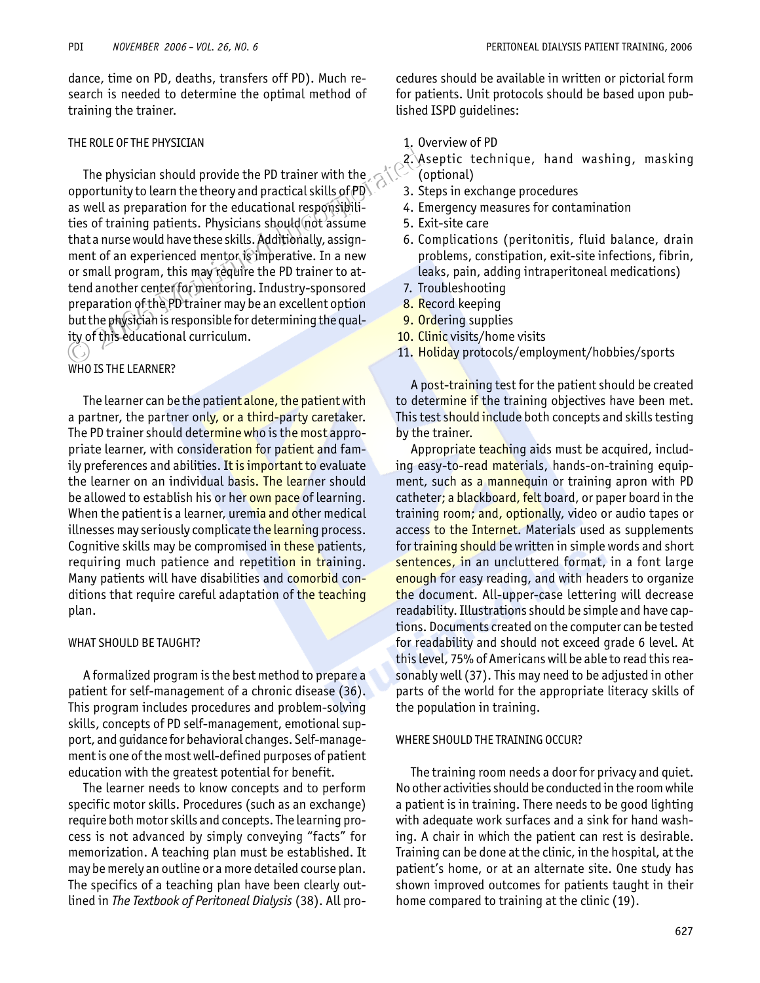dance, time on PD, deaths, transfers off PD). Much research is needed to determine the optimal method of training the trainer.

### THE ROLE OF THE PHYSICIAN

 $(C)$ 2200066 MMullet and provide the PD trainer with the and provide the PD trainer with the content of the educational responsibilities of training patients. Physicians should (not assume that a nurse would have these skills. The physician should provide the PD trainer with the opportunity to learn the theory and practical skills of  $PD$ ). as well as preparation for the educational responsibilities of training patients. Physicians should not assume that a nurse would have these skills. Additionally, assignment of an experienced mentor is imperative. In a new or small program, this may require the PD trainer to attend another center for mentoring. Industry-sponsored preparation of the PD trainer may be an excellent option but the physician is responsible for determining the quality of this educational curriculum.

### WHO IS THE LEARNER?

The learner can be the patient alone, the patient with a partner, the partner only, or a third-party caretaker. The PD trainer should determine who is the most appropriate learner, with consideration for patient and family preferences and abilities. It is important to evaluate the learner on an individual basis. The learner should be allowed to establish his or her own pace of learning. When the patient is a learner, uremia and other medical illnesses may seriously complicate the learning process. Cognitive skills may be compromised in these patients, requiring much patience and repetition in training. Many patients will have disabilities and comorbid conditions that require careful adaptation of the teaching plan.

#### WHAT SHOULD BE TAUGHT?

A formalized program is the best method to prepare a patient for self-management of a chronic disease (36). This program includes procedures and problem-solving skills, concepts of PD self-management, emotional support, and guidance for behavioral changes. Self-management is one of the most well-defined purposes of patient education with the greatest potential for benefit.

The learner needs to know concepts and to perform specific motor skills. Procedures (such as an exchange) require both motor skills and concepts. The learning process is not advanced by simply conveying "facts" for memorization. A teaching plan must be established. It may be merely an outline or a more detailed course plan. The specifics of a teaching plan have been clearly outlined in The Textbook of Peritoneal Dialysis (38). All procedures should be available in written or pictorial form for patients. Unit protocols should be based upon published ISPD guidelines:

- 1. Overview of PD
- 2. Aseptic technique, hand washing, masking (optional)
- 3. Steps in exchange procedures
- 4. Emergency measures for contamination
- 5. Exit-site care
- 6. Complications (peritonitis, fluid balance, drain problems, constipation, exit-site infections, fibrin, leaks, pain, adding intraperitoneal medications)
- 7. Troubleshooting
- 8. Record keeping
- 9. Ordering supplies
- 10. Clinic visits/home visits
- 11. Holiday protocols/employment/hobbies/sports

A post-training test for the patient should be created to determine if the training objectives have been met. This test should include both concepts and skills testing by the trainer.

Appropriate teaching aids must be acquired, including easy-to-read materials, hands-on-training equipment, such as a mannequin or training apron with PD catheter; a blackboard, felt board, or paper board in the training room; and, optionally, video or audio tapes or access to the Internet. Materials used as supplements for training should be written in simple words and short sentences, in an uncluttered format, in a font large enough for easy reading, and with headers to organize the document. All-upper-case lettering will decrease readability. Illustrations should be simple and have captions. Documents created on the computer can be tested for readability and should not exceed grade 6 level. At this level, 75% of Americans will be able to read this reasonably well (37). This may need to be adjusted in other parts of the world for the appropriate literacy skills of the population in training.

#### WHERE SHOULD THE TRAINING OCCUR?

The training room needs a door for privacy and quiet. No other activities should be conducted in the room while a patient is in training. There needs to be good lighting with adequate work surfaces and a sink for hand washing. A chair in which the patient can rest is desirable. Training can be done at the clinic, in the hospital, at the patient's home, or at an alternate site. One study has shown improved outcomes for patients taught in their home compared to training at the clinic (19).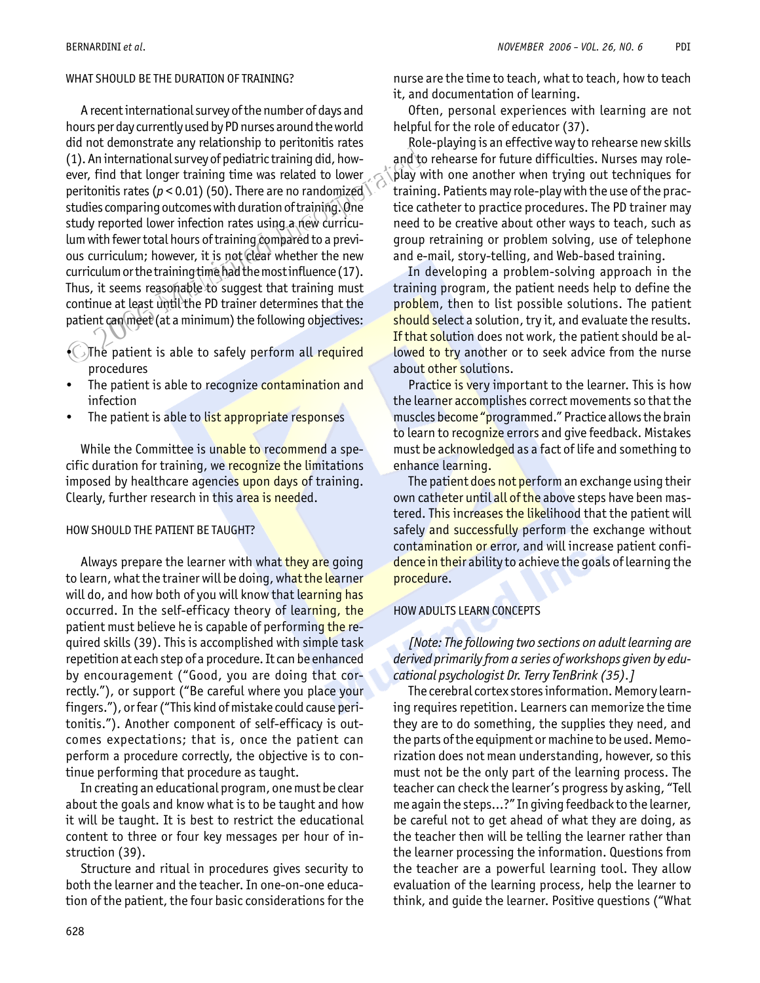# WHAT SHOULD BE THE DURATION OF TRAINING?

2200066 MMullet and the training time are defined and to the training time was related to lower<br>
2200066 MMullet training did, hower, find that longer training time was related to lower<br>
2200066 MMullet training comparing A recent international survey of the number of days and hours per day currently used by PD nurses around the world did not demonstrate any relationship to peritonitis rates (1). An international survey of pediatric training did, however, find that longer training time was related to lower peritonitis rates ( $p < 0.01$ ) (50). There are no randomized studies comparing outcomes with duration of training. One study reported lower infection rates using a new curriculum with fewer total hours of training compared to a previous curriculum; however, it is not clear whether the new curriculum or the training time had the most influence (17). Thus, it seems reasonable to suggest that training must continue at least until the PD trainer determines that the patient can meet (at a minimum) the following objectives:

- The patient is able to safely perform all required procedures
- The patient is able to recognize contamination and infection
- The patient is able to list appropriate responses

While the Committee is unable to recommend a specific duration for training, we recognize the limitations imposed by healthcare agencie<mark>s upon days o</mark>f training. Clearly, further research in this area is needed.

# HOW SHOULD THE PATIENT BE TAUGHT?

Always prepare the learner with what they are going to learn, what the trainer will be doing, what the learner will do, and how both of you will know that learning has occurred. In the self-efficacy theory of learning, the patient must believe he is capable of performing the required skills (39). This is accomplished with simple task repetition at each step of a procedure. It can be enhanced by encouragement ("Good, you are doing that correctly."), or support ("Be careful where you place your fingers."), or fear ("This kind of mistake could cause peritonitis."). Another component of self-efficacy is outcomes expectations; that is, once the patient can perform a procedure correctly, the objective is to continue performing that procedure as taught.

In creating an educational program, one must be clear about the goals and know what is to be taught and how it will be taught. It is best to restrict the educational content to three or four key messages per hour of instruction (39).

Structure and ritual in procedures gives security to both the learner and the teacher. In one-on-one education of the patient, the four basic considerations for the

nurse are the time to teach, what to teach, how to teach it, and documentation of learning.

Often, personal experiences with learning are not helpful for the role of educator (37).

Role-playing is an effective way to rehearse new skills and to rehearse for future difficulties. Nurses may roleplay with one another when trying out techniques for training. Patients may role-play with the use of the practice catheter to practice procedures. The PD trainer may need to be creative about other ways to teach, such as group retraining or problem solving, use of telephone and e-mail, story-telling, and Web-based training.

In developing a problem-solving approach in the training program, the patient needs help to define the problem, then to list possible solutions. The patient should select a solution, try it, and evaluate the results. If that solution does not work, the patient should be allowed to try another or to seek advice from the nurse about other solutions.

Practice is very important to the learner. This is how the learner accomplishes correct movements so that the muscles become "programmed." Practice allows the brain to learn to recognize errors and give feedback. Mistakes must be acknowledged as a fact of life and something to enhance learning.

The patient does not perform an exchange using their own catheter until all of the above steps have been mastered. This increases the likelihood that the patient will safely and successfully perform the exchange without contamination or error, and will increase patient confidence in their ability to achieve the goals of learning the procedure.

# HOW ADULTS LEARN CONCEPTS

[Note: The following two sections on adult learning are derived primarily from a series of workshops given by educational psychologist Dr. Terry TenBrink (35).]

The cerebral cortex stores information. Memory learning requires repetition. Learners can memorize the time they are to do something, the supplies they need, and the parts of the equipment or machine to be used. Memorization does not mean understanding, however, so this must not be the only part of the learning process. The teacher can check the learner's progress by asking, "Tell me again the steps…?" In giving feedback to the learner, be careful not to get ahead of what they are doing, as the teacher then will be telling the learner rather than the learner processing the information. Questions from the teacher are a powerful learning tool. They allow evaluation of the learning process, help the learner to think, and guide the learner. Positive questions ("What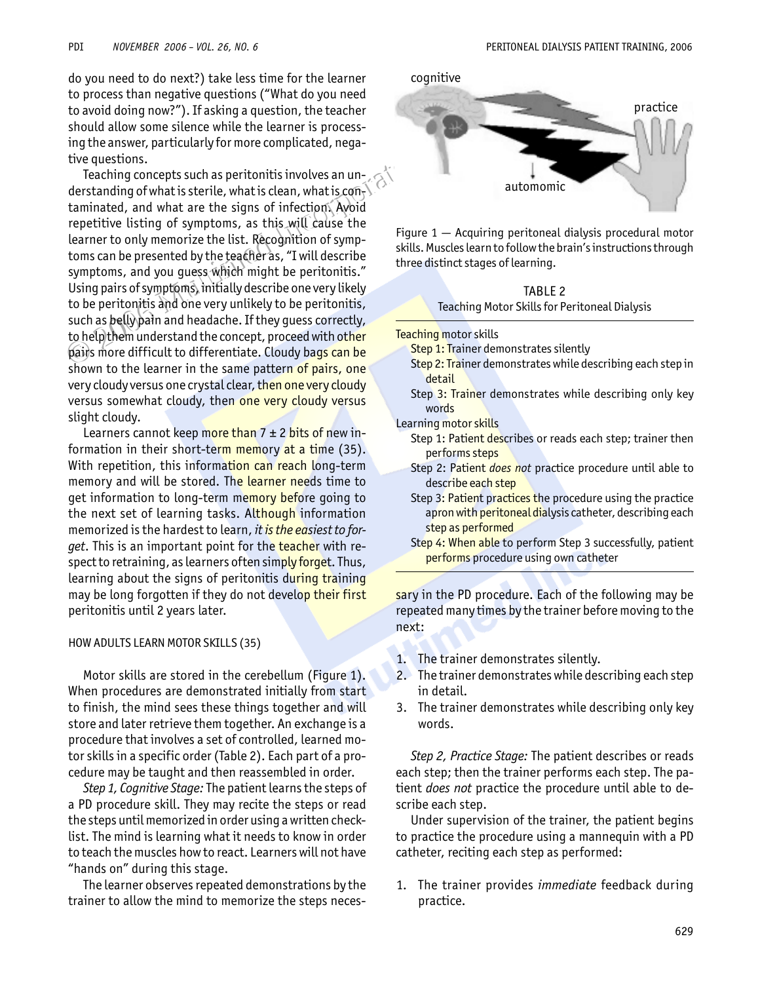do you need to do next?) take less time for the learner to process than negative questions ("What do you need to avoid doing now?"). If asking a question, the teacher should allow some silence while the learner is processing the answer, particularly for more complicated, negative questions.

Foreignment understand the concept, proceed with other<br>pairs more difficult to differentiate. Cloudy bags can be be questions.<br>
Teaching concepts such as peritonitis involves an un-<br>
restanding of what is sterile, what is clean, what is con-<br>
minated, and what are the signs of infections Ayoid<br>
petitive listing of symptoms, as this Teaching concepts such as peritonitis involves an understanding of what is sterile, what is clean, what is  $\mathsf{conf}_1$ taminated, and what are the signs of infection. Avoid repetitive listing of symptoms, as this will cause the learner to only memorize the list. Recognition of symptoms can be presented by the teacher as, "I will describe symptoms, and you guess which might be peritonitis." Using pairs of symptoms, initially describe one very likely to be peritonitis and one very unlikely to be peritonitis, such as belly pain and headache. If they quess correctly, to help them understand the concept, proceed with other shown to the learner in the same pattern of pairs, one very cloudy versus one crystal clear, then one very cloudy versus somewhat cloudy, then one very cloudy versus slight cloudy.

Learners cannot keep more than  $7 \pm 2$  bits of new information in their short-term memory at a time (35). With repetition, this information can reach long-term memory and will be stored. The learner needs time to get information to long-term memory before going to the next set of learning tasks. Although information memorized is the hardest to learn, it is the easiest to forget. This is an important point for the teacher with respect to retraining, as learners often simply forget. Thus, learning about the signs of peritonitis during training may be long forgotten if they do not develop their first peritonitis until 2 years later.

#### HOW ADULTS LEARN MOTOR SKILLS (35)

Motor skills are stored in the cerebellum (Figure 1). When procedures are demonstrated initially from start to finish, the mind sees these things together and will store and later retrieve them together. An exchange is a procedure that involves a set of controlled, learned motor skills in a specific order (Table 2). Each part of a procedure may be taught and then reassembled in order.

Step 1, Cognitive Stage: The patient learns the steps of a PD procedure skill. They may recite the steps or read the steps until memorized in order using a written checklist. The mind is learning what it needs to know in order to teach the muscles how to react. Learners will not have "hands on" during this stage.

The learner observes repeated demonstrations by the trainer to allow the mind to memorize the steps neces-



Figure 1 — Acquiring peritoneal dialysis procedural motor skills. Muscles learn to follow the brain's instructions through three distinct stages of learning.

TABLE 2 Teaching Motor Skills for Peritoneal Dialysis

Teaching motor skills

Step 1: Trainer demonstrates silently

- Step 2: Trainer demonstrates while describing each step in detail
- Step 3: Trainer demonstrates while describing only key words

Learning motor skills

- Step 1: Patient describes or reads each step; trainer then performs steps
- Step 2: Patient *does not* practice procedure until able to describe each step
- Step 3: Patient practices the procedure using the practice apron with peritoneal dialysis catheter, describing each step as performed
- Step 4: When able to perform Step 3 successfully, patient performs procedure using own catheter

sary in the PD procedure. Each of the following may be repeated many times by the trainer before moving to the next:

- 1. The trainer demonstrates silently.
- 2. The trainer demonstrates while describing each step in detail.
- 3. The trainer demonstrates while describing only key words.

Step 2, Practice Stage: The patient describes or reads each step; then the trainer performs each step. The patient does not practice the procedure until able to describe each step.

Under supervision of the trainer, the patient begins to practice the procedure using a mannequin with a PD catheter, reciting each step as performed:

1. The trainer provides *immediate* feedback during practice.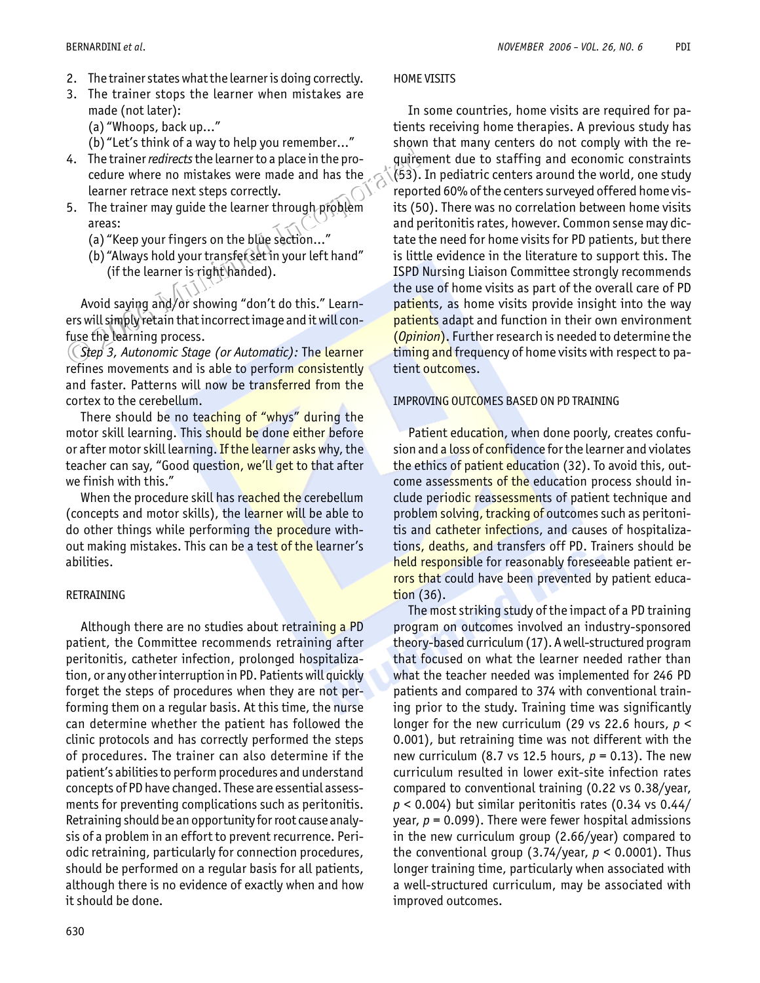- 2. The trainer states what the learner is doing correctly.
- 3. The trainer stops the learner when mistakes are made (not later):

(a) "Whoops, back up…"

- (b) "Let's think of a way to help you remember…"
- 220 External of a may be negliged tendentially the trainer redirects the learner to a place in the pro-<br>
2200066 MMullet pro-<br>
2200066 MMullet trainer may guide the learner through proplem<br>
The trainer may guide the learn 4. The trainer redirects the learner to a place in the procedure where no mistakes were made and has the learner retrace next steps correctly.
- 5. The trainer may guide the learner through problem areas:
	- (a) "Keep your fingers on the blue section..."
	- (b) "Always hold your transfer set in your left hand" (if the learner is right handed).

Avoid saying and/or showing "don't do this." Learners will simply retain that incorrect image and it will confuse the learning process.

The current process.<br>
(Step 3, Autonomic Stage (or Automatic): The learner<br>
refines movements and is able to perform consistently refines movements and is able to perform consistently and faster. Patterns will now be transferred from the cortex to the cerebellum.

There should be no teaching of "whys" during the motor skill learning. This should be done either before or after motor skill learning. If the learner asks why, the teacher can say, "Good question, we'll get to that after we finish with this."

When the procedure skill has reached the cerebellum (concepts and motor skills), the learner will be able to do other things while performing the procedure without making mistakes. This can be a test of the learner's abilities.

# RETRAINING

Although there are no studies about retraining a PD patient, the Committee recommends retraining after peritonitis, catheter infection, prolonged hospitalization, or any other interruption in PD. Patients will quickly forget the steps of procedures when they are not performing them on a regular basis. At this time, the nurse can determine whether the patient has followed the clinic protocols and has correctly performed the steps of procedures. The trainer can also determine if the patient's abilities to perform procedures and understand concepts of PD have changed. These are essential assessments for preventing complications such as peritonitis. Retraining should be an opportunity for root cause analysis of a problem in an effort to prevent recurrence. Periodic retraining, particularly for connection procedures, should be performed on a regular basis for all patients, although there is no evidence of exactly when and how it should be done.

#### HOME VISITS

In some countries, home visits are required for patients receiving home therapies. A previous study has shown that many centers do not comply with the requirement due to staffing and economic constraints (53). In pediatric centers around the world, one study reported 60% of the centers surveyed offered home visits (50). There was no correlation between home visits and peritonitis rates, however. Common sense may dictate the need for home visits for PD patients, but there is little evidence in the literature to support this. The ISPD Nursing Liaison Committee strongly recommends the use of home visits as part of the overall care of PD patients, as home visits provide insight into the way patients adapt and function in their own environment (Opinion). Further research is needed to determine the timing and frequency of home visits with respect to patient outcomes.

# IMPROVING OUTCOMES BASED ON PD TRAINING

Patient education, when done poorly, creates confusion and a loss of confidence for the learner and violates the ethics of patient education (32). To avoid this, outcome assessments of the education process should include periodic reassessments of patient technique and problem solving, tracking of outcomes such as peritonitis and catheter infections, and causes of hospitalizations, deaths, and transfers off PD. Trainers should be held responsible for reasonably foreseeable patient errors that could have been prevented by patient educa- $\frac{1}{2}$ tion (36).

The most striking study of the impact of a PD training program on outcomes involved an industry-sponsored theory-based curriculum (17). A well-structured program that focused on what the learner needed rather than what the teacher needed was implemented for 246 PD patients and compared to 374 with conventional training prior to the study. Training time was significantly longer for the new curriculum (29 vs 22.6 hours,  $p <$ 0.001), but retraining time was not different with the new curriculum (8.7 vs 12.5 hours,  $p = 0.13$ ). The new curriculum resulted in lower exit-site infection rates compared to conventional training (0.22 vs 0.38/year,  $p < 0.004$ ) but similar peritonitis rates (0.34 vs 0.44/ year,  $p = 0.099$ ). There were fewer hospital admissions in the new curriculum group (2.66/year) compared to the conventional group (3.74/year,  $p < 0.0001$ ). Thus longer training time, particularly when associated with a well-structured curriculum, may be associated with improved outcomes.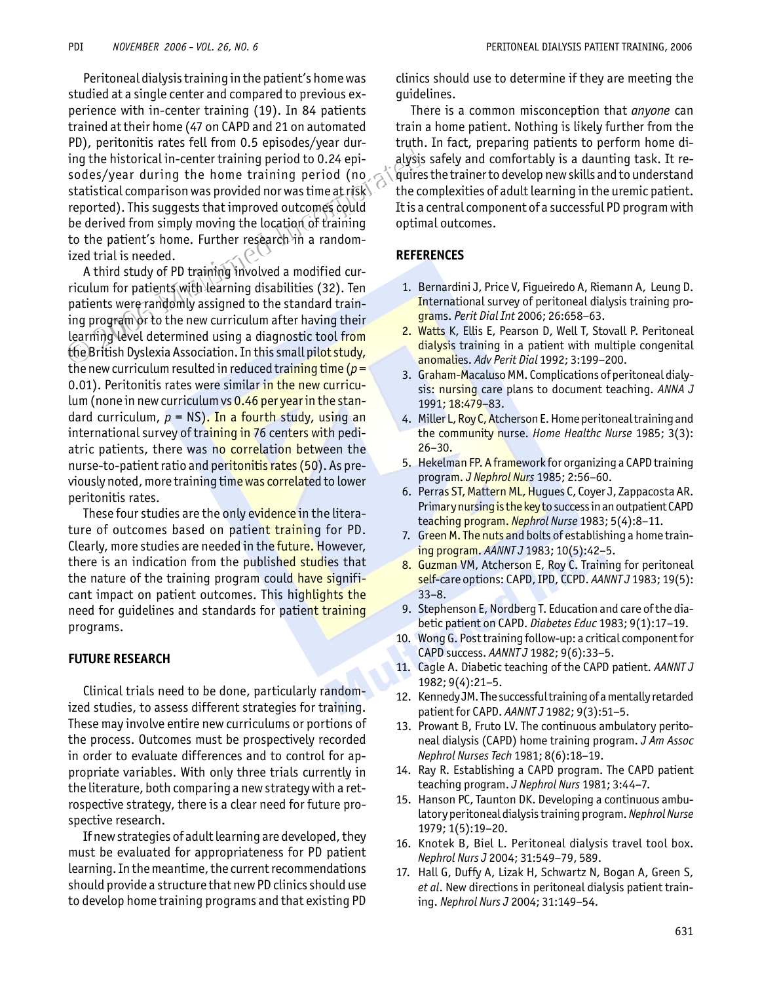2200066 Multiple this transformation of the new curriculum after having the home training period (noted). This suggests that improved outcomes could the conduction of training optime at ederived from simply moving the loc Peritoneal dialysis training in the patient's home was studied at a single center and compared to previous experience with in-center training (19). In 84 patients trained at their home (47 on CAPD and 21 on automated PD), peritonitis rates fell from 0.5 episodes/year during the historical in-center training period to 0.24 episodes/year during the home training period (no statistical comparison was provided nor was time at risk reported). This suggests that improved outcomes could be derived from simply moving the location of training to the patient's home. Further research in a randomized trial is needed.

Example were determined using a diagnostic tool from<br>the British Dyslexia Association. In this small pilot study, A third study of PD training involved a modified curriculum for patients with learning disabilities (32). Ten patients were randomly assigned to the standard training program or to the new curriculum after having their learning level determined using a diagnostic tool from the new curriculum resulted in reduced training time ( $p =$ 0.01). Peritonitis rates were similar in the new curriculum (none in new curriculum vs 0.46 per year in the standard curriculum,  $p = NS$ ). In a fourth study, using an international survey of training in 76 centers with pediatric patients, there was no correlation between the nurse-to-patient ratio and peritonitis rates (50). As previously noted, more training time was correlated to lower peritonitis rates.

These four studies are the only evidence in the literature of outcomes based on patient training for PD. Clearly, more studies are needed in the **future.** However, there is an indication from the published studies that the nature of the training program could have significant impact on patient outcomes. This highlights the need for guidelines and standards for patient training programs.

# FUTURE RESEARCH

Clinical trials need to be done, particularly randomized studies, to assess different strategies for training. These may involve entire new curriculums or portions of the process. Outcomes must be prospectively recorded in order to evaluate differences and to control for appropriate variables. With only three trials currently in the literature, both comparing a new strategy with a retrospective strategy, there is a clear need for future prospective research.

If new strategies of adult learning are developed, they must be evaluated for appropriateness for PD patient learning. In the meantime, the current recommendations should provide a structure that new PD clinics should use to develop home training programs and that existing PD clinics should use to determine if they are meeting the guidelines.

There is a common misconception that *anyone* can train a home patient. Nothing is likely further from the truth. In fact, preparing patients to perform home dialysis safely and comfortably is a daunting task. It requires the trainer to develop new skills and to understand the complexities of adult learning in the uremic patient. It is a central component of a successful PD program with optimal outcomes.

# **REFERENCES**

- 1. Bernardini J, Price V, Figueiredo A, Riemann A, Leung D. International survey of peritoneal dialysis training programs. Perit Dial Int 2006; 26:658–63.
- 2. Watts K, Ellis E, Pearson D, Well T, Stovall P. Peritoneal dialysis training in a patient with multiple congenital anomalies. Adv Perit Dial 1992; 3:199–200.
- 3. Graham-Macaluso MM. Complications of peritoneal dialysis: nursing care plans to document teaching. ANNA J 1991; 18:479–83.
- 4. Miller L, Roy C, Atcherson E. Home peritoneal training and the community nurse. Home Healthc Nurse 1985; 3(3): 26–30.
- 5. Hekelman FP. A framework for organizing a CAPD training program. J Nephrol Nurs 1985; 2:56-60.
- 6. Perras ST, Mattern ML, Hugues C, Coyer J, Zappacosta AR. Primary nursing is the key to success in an outpatient CAPD teaching program. Nephrol Nurse 1983; 5(4):8-11.
- 7. Green M. The nuts and bolts of establishing a home training program. AANNT J 1983; 10(5):42-5.
- 8. Guzman VM, Atcherson E, Roy C. Training for peritoneal self-care options: CAPD, IPD, CCPD. AANNTJ 1983; 19(5): 33–8.
- 9. Stephenson E, Nordberg T. Education and care of the diabetic patient on CAPD. Diabetes Educ 1983; 9(1):17–19.
- 10. Wong G. Post training follow-up: a critical component for CAPD success. AANNT J 1982; 9(6):33–5.
- 11. Cagle A. Diabetic teaching of the CAPD patient. AANNT J 1982; 9(4):21–5.
- 12. Kennedy JM. The successful training of a mentally retarded patient for CAPD. AANNT J 1982; 9(3): 51-5.
- 13. Prowant B, Fruto LV. The continuous ambulatory peritoneal dialysis (CAPD) home training program. J Am Assoc Nephrol Nurses Tech 1981; 8(6):18–19.
- 14. Ray R. Establishing a CAPD program. The CAPD patient teaching program. J Nephrol Nurs 1981; 3:44–7.
- 15. Hanson PC, Taunton DK. Developing a continuous ambulatory peritoneal dialysis training program. Nephrol Nurse 1979; 1(5):19–20.
- 16. Knotek B, Biel L. Peritoneal dialysis travel tool box. Nephrol Nurs J 2004; 31:549–79, 589.
- 17. Hall G, Duffy A, Lizak H, Schwartz N, Bogan A, Green S, et al. New directions in peritoneal dialysis patient training. Nephrol Nurs J 2004; 31:149–54.